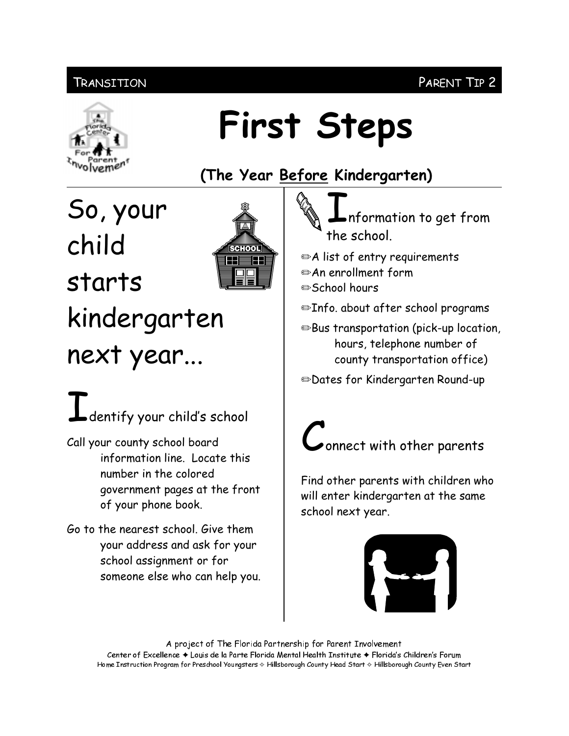### **TRANSITION**



## **First Steps**

(The Year Before Kindergarten)

So, your child starts kindergarten next year...



# $\Gamma$  dentify your child's school

- Call your county school board information line. Locate this number in the colored government pages at the front of your phone book.
- Go to the nearest school. Give them your address and ask for your school assignment or for someone else who can help you.

nformation to get from the school.

- A list of entry requirements
- An enrollment form
- **■School hours**
- ⊕Info. about after school programs

**Bus transportation (pick-up location,** hours, telephone number of county transportation office)

**Solates for Kindergarten Round-up** 



Find other parents with children who will enter kindergarten at the same school next year.



A project of The Florida Partnership for Parent Involvement Center of Excellence ♦ Louis de la Parte Florida Mental Health Institute ♦ Florida's Children's Forum Home Instruction Program for Preschool Youngsters & Hillsborough County Head Start & Hillsborough County Even Start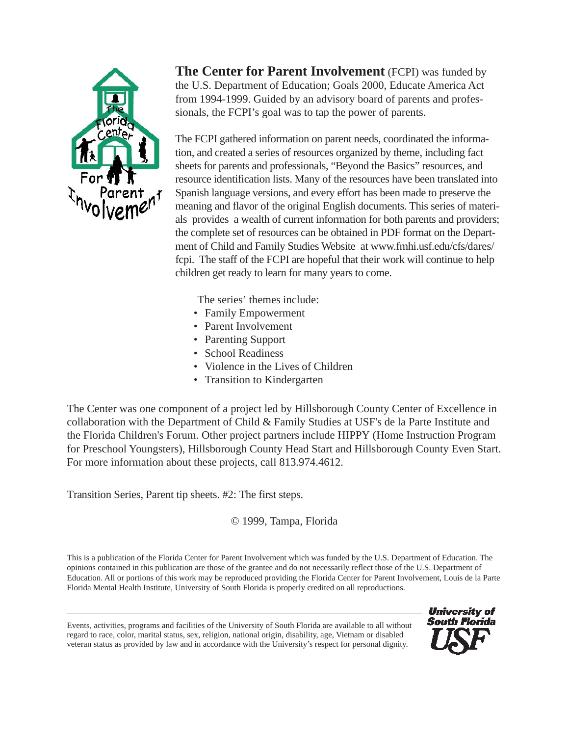

**The Center for Parent Involvement** (FCPI) was funded by the U.S. Department of Education; Goals 2000, Educate America Act from 1994-1999. Guided by an advisory board of parents and professionals, the FCPI's goal was to tap the power of parents.

The FCPI gathered information on parent needs, coordinated the information, and created a series of resources organized by theme, including fact sheets for parents and professionals, "Beyond the Basics" resources, and resource identification lists. Many of the resources have been translated into Spanish language versions, and every effort has been made to preserve the meaning and flavor of the original English documents. This series of materials provides a wealth of current information for both parents and providers; the complete set of resources can be obtained in PDF format on the Department of Child and Family Studies Website at www.fmhi.usf.edu/cfs/dares/ fcpi. The staff of the FCPI are hopeful that their work will continue to help children get ready to learn for many years to come.

The series' themes include:

- Family Empowerment
- Parent Involvement
- Parenting Support
- School Readiness
- Violence in the Lives of Children
- Transition to Kindergarten

The Center was one component of a project led by Hillsborough County Center of Excellence in collaboration with the Department of Child & Family Studies at USF's de la Parte Institute and the Florida Children's Forum. Other project partners include HIPPY (Home Instruction Program for Preschool Youngsters), Hillsborough County Head Start and Hillsborough County Even Start. For more information about these projects, call 813.974.4612.

Transition Series, Parent tip sheets. #2: The first steps.

© 1999, Tampa, Florida

This is a publication of the Florida Center for Parent Involvement which was funded by the U.S. Department of Education. The opinions contained in this publication are those of the grantee and do not necessarily reflect those of the U.S. Department of Education. All or portions of this work may be reproduced providing the Florida Center for Parent Involvement, Louis de la Parte Florida Mental Health Institute, University of South Florida is properly credited on all reproductions.

Events, activities, programs and facilities of the University of South Florida are available to all without regard to race, color, marital status, sex, religion, national origin, disability, age, Vietnam or disabled veteran status as provided by law and in accordance with the University's respect for personal dignity.